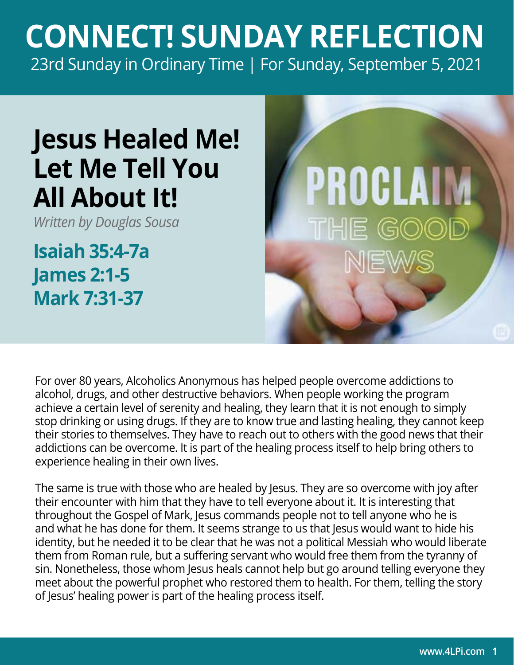## **CONNECT! SUNDAY REFLECTION** [23rd Sunday in Ordinary Time | For Sunday, September 5, 2021](https://bible.usccb.org/bible/readings/090521.cfm)

## **Jesus Healed Me! Let Me Tell You All About It!**

*Written by Douglas Sousa*

**Isaiah 35:4-7a James 2:1-5 Mark 7:31-37**



For over 80 years, Alcoholics Anonymous has helped people overcome addictions to alcohol, drugs, and other destructive behaviors. When people working the program achieve a certain level of serenity and healing, they learn that it is not enough to simply stop drinking or using drugs. If they are to know true and lasting healing, they cannot keep their stories to themselves. They have to reach out to others with the good news that their addictions can be overcome. It is part of the healing process itself to help bring others to experience healing in their own lives.

The same is true with those who are healed by Jesus. They are so overcome with joy after their encounter with him that they have to tell everyone about it. It is interesting that throughout the Gospel of Mark, Jesus commands people not to tell anyone who he is and what he has done for them. It seems strange to us that Jesus would want to hide his identity, but he needed it to be clear that he was not a political Messiah who would liberate them from Roman rule, but a suffering servant who would free them from the tyranny of sin. Nonetheless, those whom Jesus heals cannot help but go around telling everyone they meet about the powerful prophet who restored them to health. For them, telling the story of Jesus' healing power is part of the healing process itself.